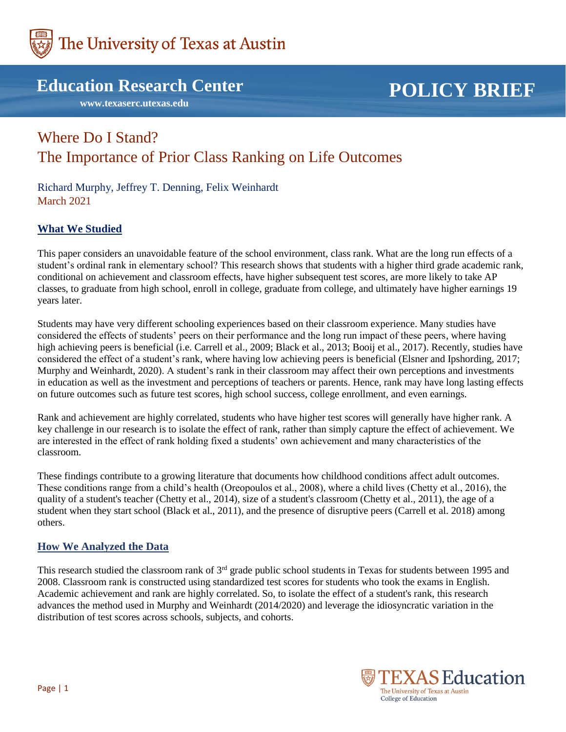

# **Education Research Center**

 **www.texaserc.utexas.edu**

# **POLICY BRIEF**

# Where Do I Stand? The Importance of Prior Class Ranking on Life Outcomes

Richard Murphy, Jeffrey T. Denning, Felix Weinhardt March 2021

# **What We Studied**

This paper considers an unavoidable feature of the school environment, class rank. What are the long run effects of a student's ordinal rank in elementary school? This research shows that students with a higher third grade academic rank, conditional on achievement and classroom effects, have higher subsequent test scores, are more likely to take AP classes, to graduate from high school, enroll in college, graduate from college, and ultimately have higher earnings 19 years later.

Students may have very different schooling experiences based on their classroom experience. Many studies have considered the effects of students' peers on their performance and the long run impact of these peers, where having high achieving peers is beneficial (i.e. Carrell et al., 2009; Black et al., 2013; Booij et al., 2017). Recently, studies have considered the effect of a student's rank, where having low achieving peers is beneficial (Elsner and Ipshording, 2017; Murphy and Weinhardt, 2020). A student's rank in their classroom may affect their own perceptions and investments in education as well as the investment and perceptions of teachers or parents. Hence, rank may have long lasting effects on future outcomes such as future test scores, high school success, college enrollment, and even earnings.

Rank and achievement are highly correlated, students who have higher test scores will generally have higher rank. A key challenge in our research is to isolate the effect of rank, rather than simply capture the effect of achievement. We are interested in the effect of rank holding fixed a students' own achievement and many characteristics of the classroom.

These findings contribute to a growing literature that documents how childhood conditions affect adult outcomes. These conditions range from a child's health (Oreopoulos et al., 2008), where a child lives (Chetty et al., 2016), the quality of a student's teacher (Chetty et al., 2014), size of a student's classroom (Chetty et al., 2011), the age of a student when they start school (Black et al., 2011), and the presence of disruptive peers (Carrell et al. 2018) among others.

#### **How We Analyzed the Data**

This research studied the classroom rank of  $3<sup>rd</sup>$  grade public school students in Texas for students between 1995 and 2008. Classroom rank is constructed using standardized test scores for students who took the exams in English. Academic achievement and rank are highly correlated. So, to isolate the effect of a student's rank, this research advances the method used in Murphy and Weinhardt (2014/2020) and leverage the idiosyncratic variation in the distribution of test scores across schools, subjects, and cohorts.

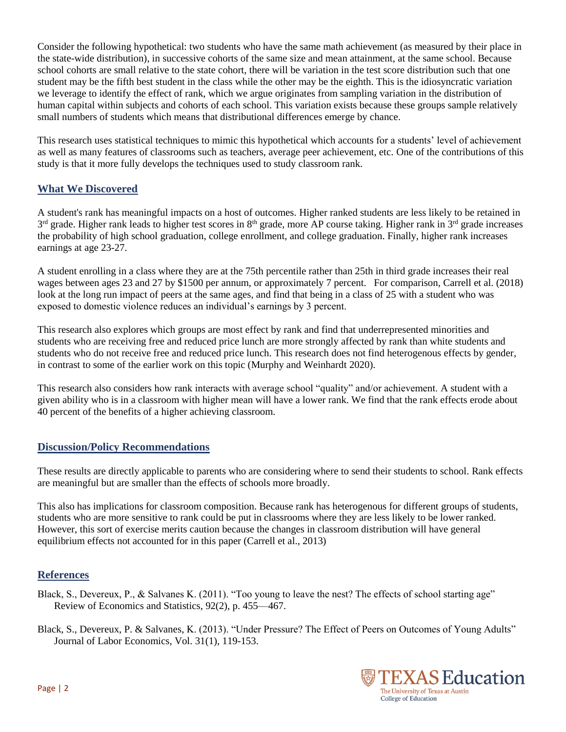Consider the following hypothetical: two students who have the same math achievement (as measured by their place in the state-wide distribution), in successive cohorts of the same size and mean attainment, at the same school. Because school cohorts are small relative to the state cohort, there will be variation in the test score distribution such that one student may be the fifth best student in the class while the other may be the eighth. This is the idiosyncratic variation we leverage to identify the effect of rank, which we argue originates from sampling variation in the distribution of human capital within subjects and cohorts of each school. This variation exists because these groups sample relatively small numbers of students which means that distributional differences emerge by chance.

This research uses statistical techniques to mimic this hypothetical which accounts for a students' level of achievement as well as many features of classrooms such as teachers, average peer achievement, etc. One of the contributions of this study is that it more fully develops the techniques used to study classroom rank.

# **What We Discovered**

A student's rank has meaningful impacts on a host of outcomes. Higher ranked students are less likely to be retained in  $3<sup>rd</sup>$  grade. Higher rank leads to higher test scores in  $8<sup>th</sup>$  grade, more AP course taking. Higher rank in  $3<sup>rd</sup>$  grade increases the probability of high school graduation, college enrollment, and college graduation. Finally, higher rank increases earnings at age 23-27.

A student enrolling in a class where they are at the 75th percentile rather than 25th in third grade increases their real wages between ages 23 and 27 by \$1500 per annum, or approximately 7 percent. For comparison, Carrell et al. (2018) look at the long run impact of peers at the same ages, and find that being in a class of 25 with a student who was exposed to domestic violence reduces an individual's earnings by 3 percent.

This research also explores which groups are most effect by rank and find that underrepresented minorities and students who are receiving free and reduced price lunch are more strongly affected by rank than white students and students who do not receive free and reduced price lunch. This research does not find heterogenous effects by gender, in contrast to some of the earlier work on this topic (Murphy and Weinhardt 2020).

This research also considers how rank interacts with average school "quality" and/or achievement. A student with a given ability who is in a classroom with higher mean will have a lower rank. We find that the rank effects erode about 40 percent of the benefits of a higher achieving classroom.

## **Discussion/Policy Recommendations**

These results are directly applicable to parents who are considering where to send their students to school. Rank effects are meaningful but are smaller than the effects of schools more broadly.

This also has implications for classroom composition. Because rank has heterogenous for different groups of students, students who are more sensitive to rank could be put in classrooms where they are less likely to be lower ranked. However, this sort of exercise merits caution because the changes in classroom distribution will have general equilibrium effects not accounted for in this paper (Carrell et al., 2013)

## **References**

- Black, S., Devereux, P., & Salvanes K. (2011). "Too young to leave the nest? The effects of school starting age" Review of Economics and Statistics, 92(2), p. 455—467.
- Black, S., Devereux, P. & Salvanes, K. (2013). "Under Pressure? The Effect of Peers on Outcomes of Young Adults" Journal of Labor Economics, Vol. 31(1), 119-153.